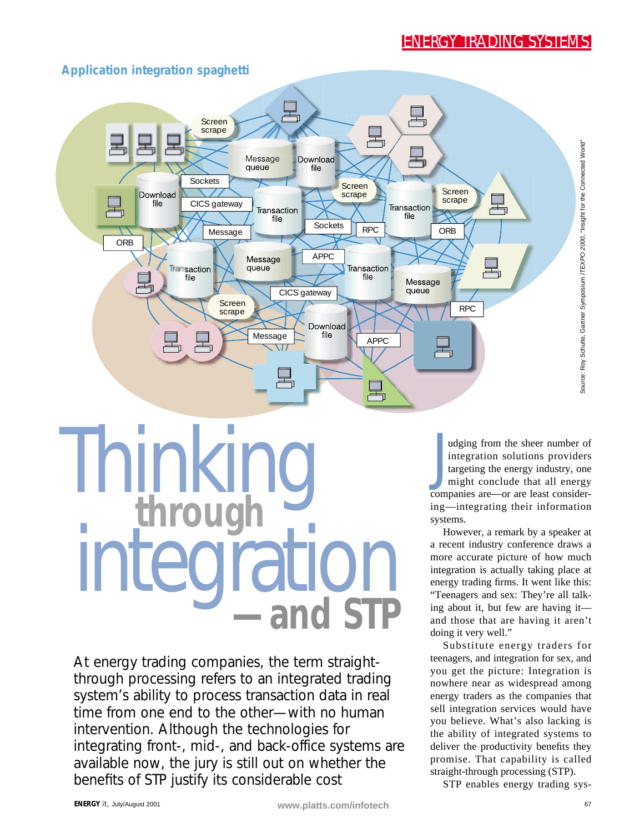

#### **Application integration spaghetti**

# Thinking **through**  integration **—and STP**

At energy trading companies, the term straightthrough processing refers to an integrated trading system's ability to process transaction data in real time from one end to the other—with no human intervention. Although the technologies for integrating front-, mid-, and back-office systems are available now, the jury is still out on whether the benefits of STP justify its considerable cost

J udging from the sheer number of integration solutions providers targeting the energy industry, one might conclude that all energy companies are—or are least considering—integrating their information systems.

However, a remark by a speaker at a recent industry conference draws a more accurate picture of how much integration is actually taking place at energy trading firms. It went like this: "Teenagers and sex: They're all talking about it, but few are having it and those that are having it aren't doing it very well."

Substitute energy traders for teenagers, and integration for sex, and you get the picture: Integration is nowhere near as widespread among energy traders as the companies that sell integration services would have you believe. What's also lacking is the ability of integrated systems to deliver the productivity benefits they promise. That capability is called straight-through processing (STP).

STP enables energy trading sys-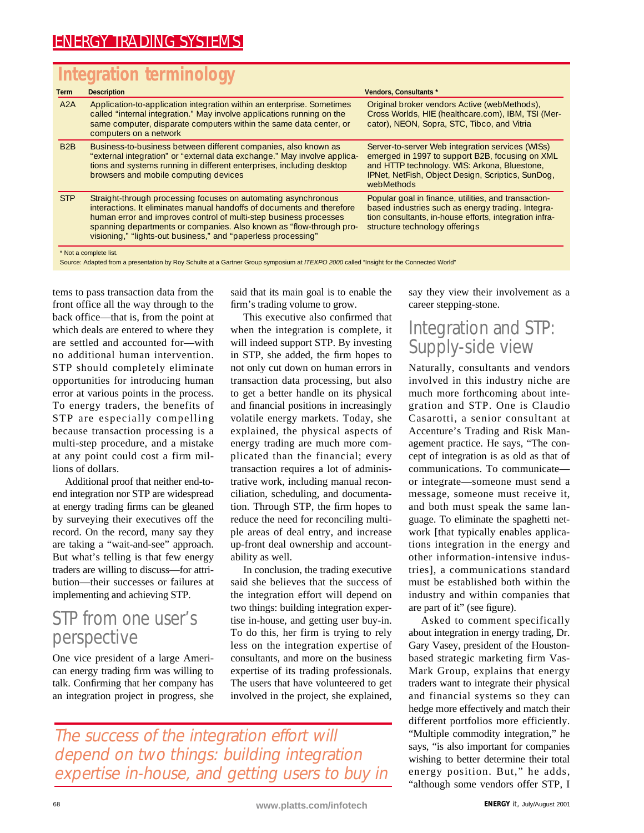# **Integration terminology**

| <b>Term</b>            | <b>Description</b>                                                                                                                                                                                                                                                                                                                                    | <b>Vendors, Consultants *</b>                                                                                                                                                                                          |
|------------------------|-------------------------------------------------------------------------------------------------------------------------------------------------------------------------------------------------------------------------------------------------------------------------------------------------------------------------------------------------------|------------------------------------------------------------------------------------------------------------------------------------------------------------------------------------------------------------------------|
| A2A                    | Application-to-application integration within an enterprise. Sometimes<br>called "internal integration." May involve applications running on the<br>same computer, disparate computers within the same data center, or<br>computers on a network                                                                                                      | Original broker vendors Active (webMethods),<br>Cross Worlds, HIE (healthcare.com), IBM, TSI (Mer-<br>cator), NEON, Sopra, STC, Tibco, and Vitria                                                                      |
| B <sub>2</sub> B       | Business-to-business between different companies, also known as<br>"external integration" or "external data exchange." May involve applica-<br>tions and systems running in different enterprises, including desktop<br>browsers and mobile computing devices                                                                                         | Server-to-server Web integration services (WISs)<br>emerged in 1997 to support B2B, focusing on XML<br>and HTTP technology. WIS: Arkona, Bluestone,<br>IPNet, NetFish, Object Design, Scriptics, SunDog,<br>webMethods |
| <b>STP</b>             | Straight-through processing focuses on automating asynchronous<br>interactions. It eliminates manual handoffs of documents and therefore<br>human error and improves control of multi-step business processes<br>spanning departments or companies. Also known as "flow-through pro-<br>visioning," "lights-out business," and "paperless processing" | Popular goal in finance, utilities, and transaction-<br>based industries such as energy trading. Integra-<br>tion consultants, in-house efforts, integration infra-<br>structure technology offerings                  |
| * Not a complete list. |                                                                                                                                                                                                                                                                                                                                                       |                                                                                                                                                                                                                        |

Source: Adapted from a presentation by Roy Schulte at a Gartner Group symposium at ITEXPO 2000 called "Insight for the Connected World"

tems to pass transaction data from the front office all the way through to the back office—that is, from the point at which deals are entered to where they are settled and accounted for—with no additional human intervention. STP should completely eliminate opportunities for introducing human error at various points in the process. To energy traders, the benefits of STP are especially compelling because transaction processing is a multi-step procedure, and a mistake at any point could cost a firm millions of dollars.

Additional proof that neither end-toend integration nor STP are widespread at energy trading firms can be gleaned by surveying their executives off the record. On the record, many say they are taking a "wait-and-see" approach. But what's telling is that few energy traders are willing to discuss—for attribution—their successes or failures at implementing and achieving STP.

## STP from one user's perspective

One vice president of a large American energy trading firm was willing to talk. Confirming that her company has an integration project in progress, she said that its main goal is to enable the firm's trading volume to grow.

This executive also confirmed that when the integration is complete, it will indeed support STP. By investing in STP, she added, the firm hopes to not only cut down on human errors in transaction data processing, but also to get a better handle on its physical and financial positions in increasingly volatile energy markets. Today, she explained, the physical aspects of energy trading are much more complicated than the financial; every transaction requires a lot of administrative work, including manual reconciliation, scheduling, and documentation. Through STP, the firm hopes to reduce the need for reconciling multiple areas of deal entry, and increase up-front deal ownership and accountability as well.

In conclusion, the trading executive said she believes that the success of the integration effort will depend on two things: building integration expertise in-house, and getting user buy-in. To do this, her firm is trying to rely less on the integration expertise of consultants, and more on the business expertise of its trading professionals. The users that have volunteered to get involved in the project, she explained,

say they view their involvement as a career stepping-stone.

# Integration and STP: Supply-side view

Naturally, consultants and vendors involved in this industry niche are much more forthcoming about integration and STP. One is Claudio Casarotti, a senior consultant at Accenture's Trading and Risk Management practice. He says, "The concept of integration is as old as that of communications. To communicate or integrate—someone must send a message, someone must receive it, and both must speak the same language. To eliminate the spaghetti network [that typically enables applications integration in the energy and other information-intensive industries], a communications standard must be established both within the industry and within companies that are part of it" (see figure).

Asked to comment specifically about integration in energy trading, Dr. Gary Vasey, president of the Houstonbased strategic marketing firm Vas-Mark Group, explains that energy traders want to integrate their physical and financial systems so they can hedge more effectively and match their different portfolios more efficiently. "Multiple commodity integration," he says, "is also important for companies wishing to better determine their total energy position. But," he adds, "although some vendors offer STP, I

The success of the integration effort will depend on two things: building integration expertise in-house, and getting users to buy in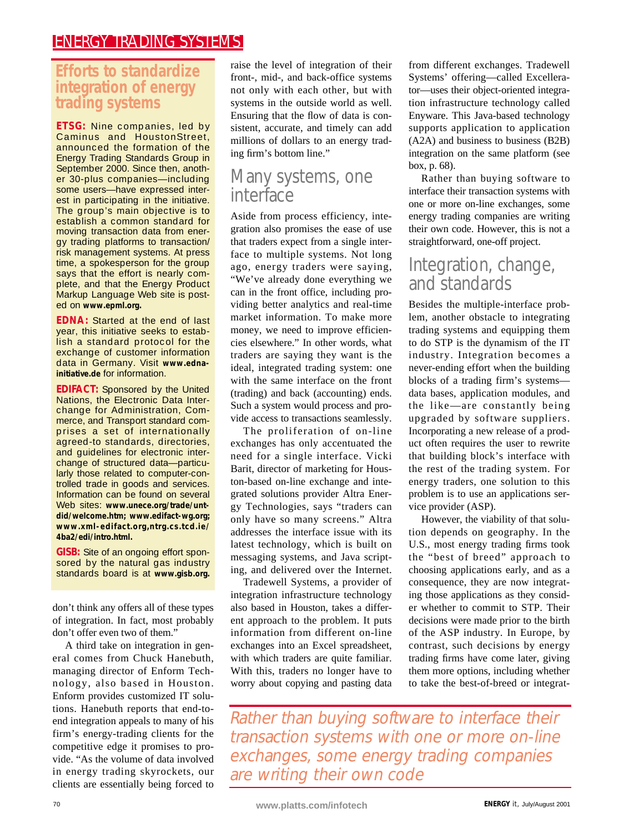#### **Efforts to standardize integration of energy trading systems**

**ETSG:** Nine companies, led by Caminus and HoustonStreet, announced the formation of the Energy Trading Standards Group in September 2000. Since then, another 30-plus companies—including some users—have expressed interest in participating in the initiative. The group's main objective is to establish a common standard for moving transaction data from energy trading platforms to transaction/ risk management systems. At press time, a spokesperson for the group says that the effort is nearly complete, and that the Energy Product Markup Language Web site is posted on **www.epml.org.**

**EDNA:** Started at the end of last year, this initiative seeks to establish a standard protocol for the exchange of customer information data in Germany. Visit **www.ednainitiative.de** for information.

**EDIFACT:** Sponsored by the United Nations, the Electronic Data Interchange for Administration, Commerce, and Transport standard comprises a set of internationally agreed-to standards, directories, and guidelines for electronic interchange of structured data—particularly those related to computer-controlled trade in goods and services. Information can be found on several Web sites: www.unece.org/trade/unt**did/welcome.htm; www.edifact-wg.org; www.xml-edifact.org,ntrg.cs.tcd.ie/ 4ba2/edi/intro.html.**

**GISB:** Site of an ongoing effort sponsored by the natural gas industry standards board is at **www.gisb.org.**

don't think any offers all of these types of integration. In fact, most probably don't offer even two of them."

A third take on integration in general comes from Chuck Hanebuth, managing director of Enform Technology, also based in Houston. Enform provides customized IT solutions. Hanebuth reports that end-toend integration appeals to many of his firm's energy-trading clients for the competitive edge it promises to provide. "As the volume of data involved in energy trading skyrockets, our clients are essentially being forced to

raise the level of integration of their front-, mid-, and back-office systems not only with each other, but with systems in the outside world as well. Ensuring that the flow of data is consistent, accurate, and timely can add millions of dollars to an energy trading firm's bottom line."

## Many systems, one interface

Aside from process efficiency, integration also promises the ease of use that traders expect from a single interface to multiple systems. Not long ago, energy traders were saying, "We've already done everything we can in the front office, including providing better analytics and real-time market information. To make more money, we need to improve efficiencies elsewhere." In other words, what traders are saying they want is the ideal, integrated trading system: one with the same interface on the front (trading) and back (accounting) ends. Such a system would process and provide access to transactions seamlessly.

The proliferation of on-line exchanges has only accentuated the need for a single interface. Vicki Barit, director of marketing for Houston-based on-line exchange and integrated solutions provider Altra Energy Technologies, says "traders can only have so many screens." Altra addresses the interface issue with its latest technology, which is built on messaging systems, and Java scripting, and delivered over the Internet.

Tradewell Systems, a provider of integration infrastructure technology also based in Houston, takes a different approach to the problem. It puts information from different on-line exchanges into an Excel spreadsheet, with which traders are quite familiar. With this, traders no longer have to worry about copying and pasting data

from different exchanges. Tradewell Systems' offering—called Excellerator—uses their object-oriented integration infrastructure technology called Enyware. This Java-based technology supports application to application (A2A) and business to business (B2B) integration on the same platform (see box, p. 68).

Rather than buying software to interface their transaction systems with one or more on-line exchanges, some energy trading companies are writing their own code. However, this is not a straightforward, one-off project.

## Integration, change, and standards

Besides the multiple-interface problem, another obstacle to integrating trading systems and equipping them to do STP is the dynamism of the IT industry. Integration becomes a never-ending effort when the building blocks of a trading firm's systems data bases, application modules, and the like—are constantly being upgraded by software suppliers. Incorporating a new release of a product often requires the user to rewrite that building block's interface with the rest of the trading system. For energy traders, one solution to this problem is to use an applications service provider (ASP).

However, the viability of that solution depends on geography. In the U.S., most energy trading firms took the "best of breed" approach to choosing applications early, and as a consequence, they are now integrating those applications as they consider whether to commit to STP. Their decisions were made prior to the birth of the ASP industry. In Europe, by contrast, such decisions by energy trading firms have come later, giving them more options, including whether to take the best-of-breed or integrat-

Rather than buying software to interface their transaction systems with one or more on-line exchanges, some energy trading companies are writing their own code

<sup>70</sup> **www.platts.com/infotech ENERGY** it, July/August 2001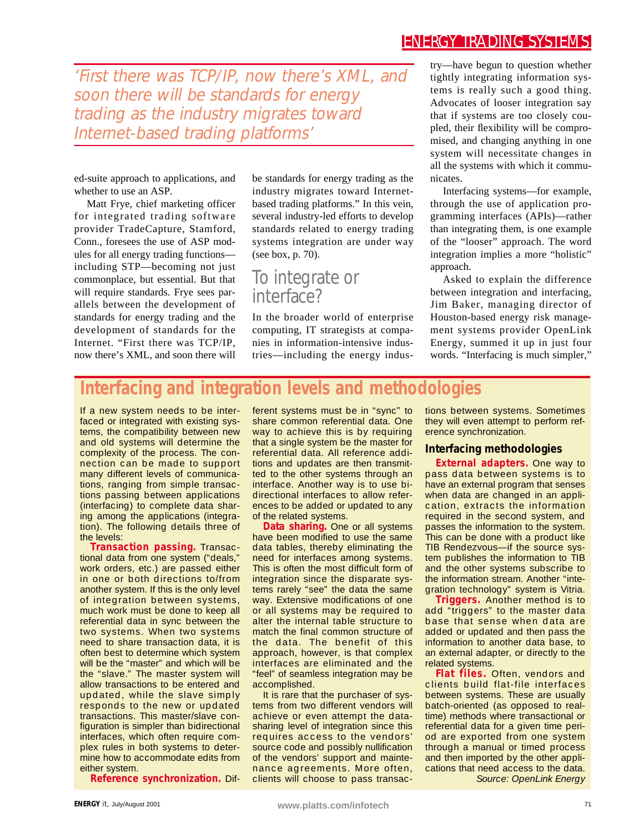'First there was TCP/IP, now there's XML, and soon there will be standards for energy trading as the industry migrates toward Internet-based trading platforms'

ed-suite approach to applications, and whether to use an ASP.

Matt Frye, chief marketing officer for integrated trading software provider TradeCapture, Stamford, Conn., foresees the use of ASP modules for all energy trading functions including STP—becoming not just commonplace, but essential. But that will require standards. Frye sees parallels between the development of standards for energy trading and the development of standards for the Internet. "First there was TCP/IP, now there's XML, and soon there will

be standards for energy trading as the industry migrates toward Internetbased trading platforms." In this vein, several industry-led efforts to develop standards related to energy trading systems integration are under way (see box, p. 70).

### To integrate or interface?

In the broader world of enterprise computing, IT strategists at companies in information-intensive industries—including the energy industry—have begun to question whether tightly integrating information systems is really such a good thing. Advocates of looser integration say that if systems are too closely coupled, their flexibility will be compromised, and changing anything in one system will necessitate changes in all the systems with which it communicates.

Interfacing systems—for example, through the use of application programming interfaces (APIs)—rather than integrating them, is one example of the "looser" approach. The word integration implies a more "holistic" approach.

Asked to explain the difference between integration and interfacing, Jim Baker, managing director of Houston-based energy risk management systems provider OpenLink Energy, summed it up in just four words. "Interfacing is much simpler,"

#### **Interfacing and integration levels and methodologies**

If a new system needs to be interfaced or integrated with existing systems, the compatibility between new and old systems will determine the complexity of the process. The connection can be made to support many different levels of communications, ranging from simple transactions passing between applications (interfacing) to complete data sharing among the applications (integration). The following details three of the levels:

**Transaction passing.** Transactional data from one system ("deals," work orders, etc.) are passed either in one or both directions to/from another system. If this is the only level of integration between systems, much work must be done to keep all referential data in sync between the two systems. When two systems need to share transaction data, it is often best to determine which system will be the "master" and which will be the "slave." The master system will allow transactions to be entered and updated, while the slave simply responds to the new or updated transactions. This master/slave configuration is simpler than bidirectional interfaces, which often require complex rules in both systems to determine how to accommodate edits from either system.

**Reference synchronization.** Dif-

ferent systems must be in "sync" to share common referential data. One way to achieve this is by requiring that a single system be the master for referential data. All reference additions and updates are then transmitted to the other systems through an interface. Another way is to use bidirectional interfaces to allow references to be added or updated to any of the related systems.

**Data sharing.** One or all systems have been modified to use the same data tables, thereby eliminating the need for interfaces among systems. This is often the most difficult form of integration since the disparate systems rarely "see" the data the same way. Extensive modifications of one or all systems may be required to alter the internal table structure to match the final common structure of the data. The benefit of this approach, however, is that complex interfaces are eliminated and the "feel" of seamless integration may be accomplished.

It is rare that the purchaser of systems from two different vendors will achieve or even attempt the datasharing level of integration since this requires access to the vendors' source code and possibly nullification of the vendors' support and maintenance agreements. More often, clients will choose to pass transactions between systems. Sometimes they will even attempt to perform reference synchronization.

#### **Interfacing methodologies**

**External adapters.** One way to pass data between systems is to have an external program that senses when data are changed in an application, extracts the information required in the second system, and passes the information to the system. This can be done with a product like TIB Rendezvous—if the source system publishes the information to TIB and the other systems subscribe to the information stream. Another "integration technology" system is Vitria.

**Triggers.** Another method is to add "triggers" to the master data base that sense when data are added or updated and then pass the information to another data base, to an external adapter, or directly to the related systems.

**Flat files.** Often, vendors and clients build flat-file interfaces between systems. These are usually batch-oriented (as opposed to realtime) methods where transactional or referential data for a given time period are exported from one system through a manual or timed process and then imported by the other applications that need access to the data. *Source: OpenLink Energy*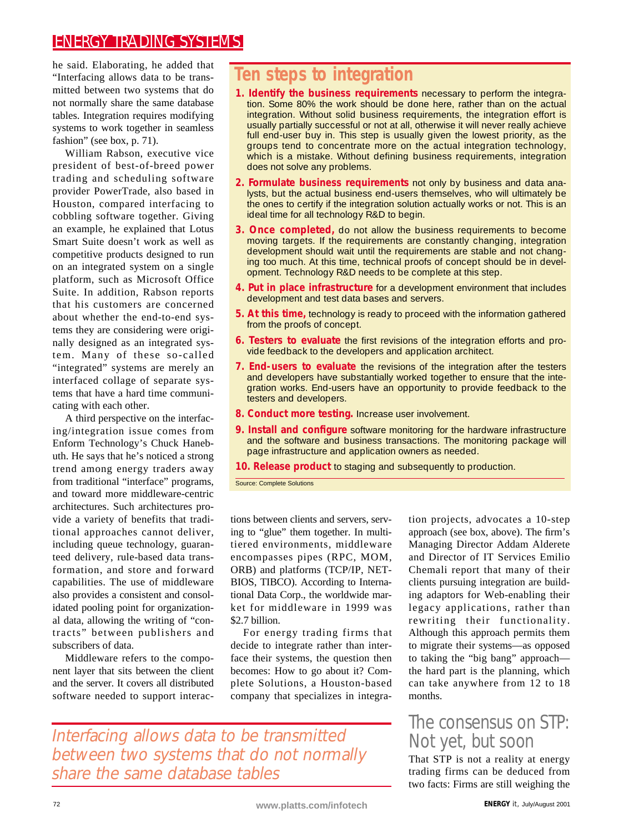he said. Elaborating, he added that "Interfacing allows data to be transmitted between two systems that do not normally share the same database tables. Integration requires modifying systems to work together in seamless fashion" (see box, p. 71).

William Rabson, executive vice president of best-of-breed power trading and scheduling software provider PowerTrade, also based in Houston, compared interfacing to cobbling software together. Giving an example, he explained that Lotus Smart Suite doesn't work as well as competitive products designed to run on an integrated system on a single platform, such as Microsoft Office Suite. In addition, Rabson reports that his customers are concerned about whether the end-to-end systems they are considering were originally designed as an integrated system. Many of these so-called "integrated" systems are merely an interfaced collage of separate systems that have a hard time communicating with each other.

A third perspective on the interfacing/integration issue comes from Enform Technology's Chuck Hanebuth. He says that he's noticed a strong trend among energy traders away from traditional "interface" programs, and toward more middleware-centric architectures. Such architectures provide a variety of benefits that traditional approaches cannot deliver, including queue technology, guaranteed delivery, rule-based data transformation, and store and forward capabilities. The use of middleware also provides a consistent and consolidated pooling point for organizational data, allowing the writing of "contracts" between publishers and subscribers of data.

Middleware refers to the component layer that sits between the client and the server. It covers all distributed software needed to support interac-

## **Ten steps to integration**

- **1. Identify the business requirements** necessary to perform the integration. Some 80% the work should be done here, rather than on the actual integration. Without solid business requirements, the integration effort is usually partially successful or not at all, otherwise it will never really achieve full end-user buy in. This step is usually given the lowest priority, as the groups tend to concentrate more on the actual integration technology, which is a mistake. Without defining business requirements, integration does not solve any problems.
- **2. Formulate business requirements** not only by business and data analysts, but the actual business end-users themselves, who will ultimately be the ones to certify if the integration solution actually works or not. This is an ideal time for all technology R&D to begin.
- **3. Once completed,** do not allow the business requirements to become moving targets. If the requirements are constantly changing, integration development should wait until the requirements are stable and not changing too much. At this time, technical proofs of concept should be in development. Technology R&D needs to be complete at this step.
- **4. Put in place infrastructure** for a development environment that includes development and test data bases and servers.
- **5. At this time,** technology is ready to proceed with the information gathered from the proofs of concept.
- **6. Testers to evaluate** the first revisions of the integration efforts and provide feedback to the developers and application architect.
- **7. End-users to evaluate** the revisions of the integration after the testers and developers have substantially worked together to ensure that the integration works. End-users have an opportunity to provide feedback to the testers and developers.
- **8. Conduct more testing.** Increase user involvement.
- **9. Install and configure** software monitoring for the hardware infrastructure and the software and business transactions. The monitoring package will page infrastructure and application owners as needed.

**10. Release product** to staging and subsequently to production.

Source: Complete Solutions

tions between clients and servers, serving to "glue" them together. In multitiered environments, middleware encompasses pipes (RPC, MOM, ORB) and platforms (TCP/IP, NET-BIOS, TIBCO). According to International Data Corp., the worldwide market for middleware in 1999 was \$2.7 billion.

For energy trading firms that decide to integrate rather than interface their systems, the question then becomes: How to go about it? Complete Solutions, a Houston-based company that specializes in integration projects, advocates a 10-step approach (see box, above). The firm's Managing Director Addam Alderete and Director of IT Services Emilio Chemali report that many of their clients pursuing integration are building adaptors for Web-enabling their legacy applications, rather than rewriting their functionality. Although this approach permits them to migrate their systems—as opposed to taking the "big bang" approach the hard part is the planning, which can take anywhere from 12 to 18 months.

# The consensus on STP: Not yet, but soon

That STP is not a reality at energy trading firms can be deduced from two facts: Firms are still weighing the

Interfacing allows data to be transmitted between two systems that do not normally share the same database tables